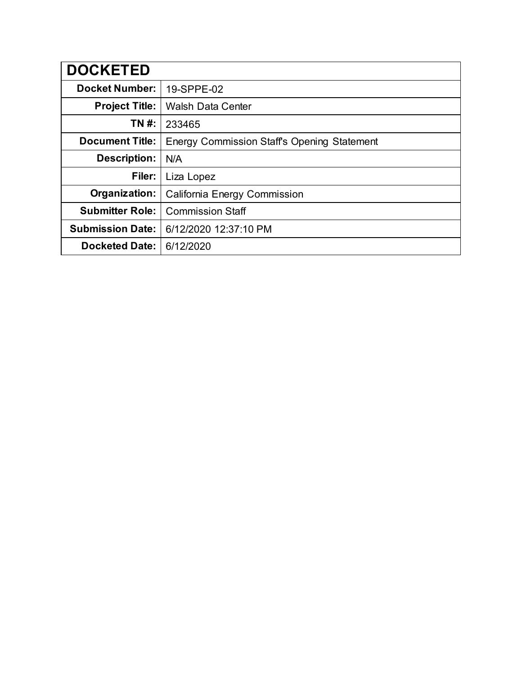| <b>DOCKETED</b>         |                                                    |
|-------------------------|----------------------------------------------------|
| <b>Docket Number:</b>   | 19-SPPE-02                                         |
| <b>Project Title:</b>   | <b>Walsh Data Center</b>                           |
| TN #:                   | 233465                                             |
| <b>Document Title:</b>  | <b>Energy Commission Staff's Opening Statement</b> |
| Description:            | N/A                                                |
| Filer:                  | Liza Lopez                                         |
| Organization:           | California Energy Commission                       |
| <b>Submitter Role:</b>  | <b>Commission Staff</b>                            |
| <b>Submission Date:</b> | 6/12/2020 12:37:10 PM                              |
| <b>Docketed Date:</b>   | 6/12/2020                                          |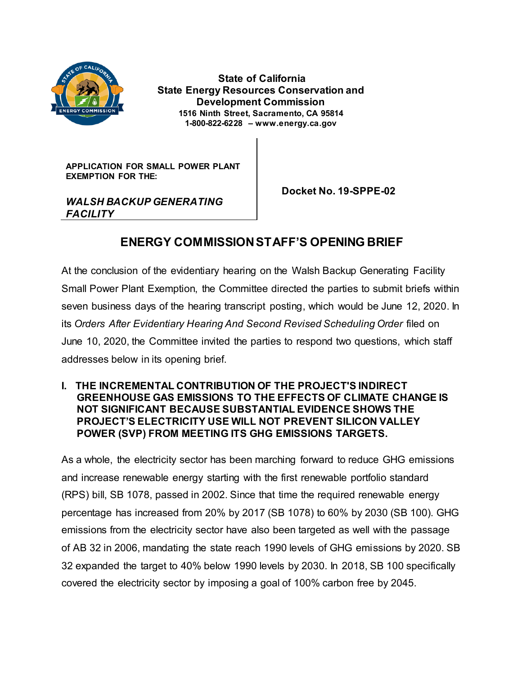

**State of California State Energy Resources Conservation and Development Commission 1516 Ninth Street, Sacramento, CA 95814 1-800-822-6228 – www.energy.ca.gov**

**APPLICATION FOR SMALL POWER PLANT EXEMPTION FOR THE:**

 **Docket No. 19-SPPE-02**

### *WALSH BACKUP GENERATING FACILITY*

# **ENERGY COMMISSION STAFF'S OPENING BRIEF**

At the conclusion of the evidentiary hearing on the Walsh Backup Generating Facility Small Power Plant Exemption, the Committee directed the parties to submit briefs within seven business days of the hearing transcript posting, which would be June 12, 2020. In its *Orders After Evidentiary Hearing And Second Revised Scheduling Order* filed on June 10, 2020, the Committee invited the parties to respond two questions, which staff addresses below in its opening brief.

#### **I. THE INCREMENTAL CONTRIBUTION OF THE PROJECT'S INDIRECT GREENHOUSE GAS EMISSIONS TO THE EFFECTS OF CLIMATE CHANGE IS NOT SIGNIFICANT BECAUSE SUBSTANTIAL EVIDENCE SHOWS THE PROJECT'S ELECTRICITY USE WILL NOT PREVENT SILICON VALLEY POWER (SVP) FROM MEETING ITS GHG EMISSIONS TARGETS.**

As a whole, the electricity sector has been marching forward to reduce GHG emissions and increase renewable energy starting with the first renewable portfolio standard (RPS) bill, SB 1078, passed in 2002. Since that time the required renewable energy percentage has increased from 20% by 2017 (SB 1078) to 60% by 2030 (SB 100). GHG emissions from the electricity sector have also been targeted as well with the passage of AB 32 in 2006, mandating the state reach 1990 levels of GHG emissions by 2020. SB 32 expanded the target to 40% below 1990 levels by 2030. In 2018, SB 100 specifically covered the electricity sector by imposing a goal of 100% carbon free by 2045.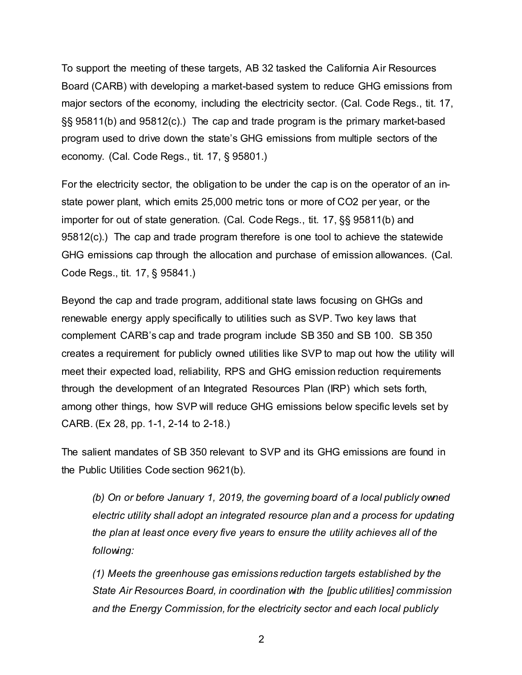To support the meeting of these targets, AB 32 tasked the California Air Resources Board (CARB) with developing a market-based system to reduce GHG emissions from major sectors of the economy, including the electricity sector. (Cal. Code Regs., tit. 17, §§ 95811(b) and 95812(c).) The cap and trade program is the primary market-based program used to drive down the state's GHG emissions from multiple sectors of the economy. (Cal. Code Regs., tit. 17, § 95801.)

For the electricity sector, the obligation to be under the cap is on the operator of an instate power plant, which emits 25,000 metric tons or more of CO2 per year, or the importer for out of state generation. (Cal. Code Regs., tit. 17, §§ 95811(b) and 95812(c).) The cap and trade program therefore is one tool to achieve the statewide GHG emissions cap through the allocation and purchase of emission allowances. (Cal. Code Regs., tit. 17, § 95841.)

Beyond the cap and trade program, additional state laws focusing on GHGs and renewable energy apply specifically to utilities such as SVP. Two key laws that complement CARB's cap and trade program include SB 350 and SB 100. SB 350 creates a requirement for publicly owned utilities like SVP to map out how the utility will meet their expected load, reliability, RPS and GHG emission reduction requirements through the development of an Integrated Resources Plan (IRP) which sets forth, among other things, how SVP will reduce GHG emissions below specific levels set by CARB. (Ex 28, pp. 1-1, 2-14 to 2-18.)

The salient mandates of SB 350 relevant to SVP and its GHG emissions are found in the Public Utilities Code section 9621(b).

*(b) On or before January 1, 2019, the governing board of a local publicly owned electric utility shall adopt an integrated resource plan and a process for updating the plan at least once every five years to ensure the utility achieves all of the following:*

*(1) Meets the greenhouse gas emissions reduction targets established by the State Air Resources Board, in coordination with the [public utilities] commission and the Energy Commission, for the electricity sector and each local publicly* 

2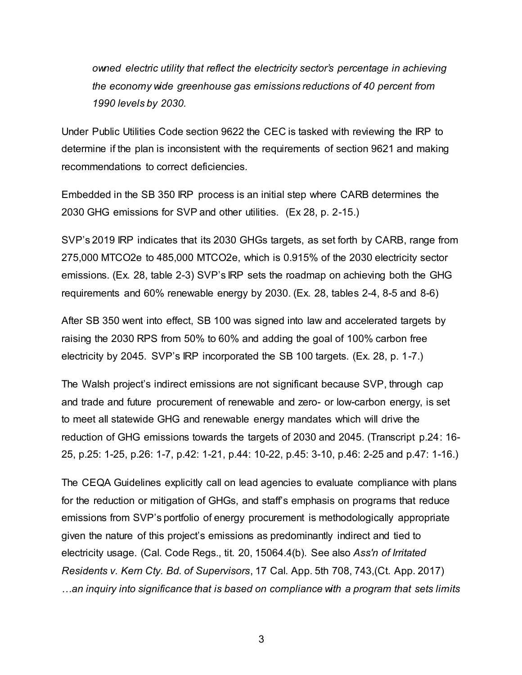*owned electric utility that reflect the electricity sector's percentage in achieving the economy wide greenhouse gas emissions reductions of 40 percent from 1990 levels by 2030.*

Under Public Utilities Code section 9622 the CEC is tasked with reviewing the IRP to determine if the plan is inconsistent with the requirements of section 9621 and making recommendations to correct deficiencies.

Embedded in the SB 350 IRP process is an initial step where CARB determines the 2030 GHG emissions for SVP and other utilities. (Ex 28, p. 2-15.)

SVP's 2019 IRP indicates that its 2030 GHGs targets, as set forth by CARB, range from 275,000 MTCO2e to 485,000 MTCO2e, which is 0.915% of the 2030 electricity sector emissions. (Ex. 28, table 2-3) SVP's IRP sets the roadmap on achieving both the GHG requirements and 60% renewable energy by 2030. (Ex. 28, tables 2-4, 8-5 and 8-6)

After SB 350 went into effect, SB 100 was signed into law and accelerated targets by raising the 2030 RPS from 50% to 60% and adding the goal of 100% carbon free electricity by 2045. SVP's IRP incorporated the SB 100 targets. (Ex. 28, p. 1-7.)

The Walsh project's indirect emissions are not significant because SVP, through cap and trade and future procurement of renewable and zero- or low-carbon energy, is set to meet all statewide GHG and renewable energy mandates which will drive the reduction of GHG emissions towards the targets of 2030 and 2045. (Transcript p.24: 16- 25, p.25: 1-25, p.26: 1-7, p.42: 1-21, p.44: 10-22, p.45: 3-10, p.46: 2-25 and p.47: 1-16.)

The CEQA Guidelines explicitly call on lead agencies to evaluate compliance with plans for the reduction or mitigation of GHGs, and staff's emphasis on programs that reduce emissions from SVP's portfolio of energy procurement is methodologically appropriate given the nature of this project's emissions as predominantly indirect and tied to electricity usage. (Cal. Code Regs., tit. 20, 15064.4(b). See also *Ass'n of Irritated Residents v. Kern Cty. Bd. of Supervisors*, 17 Cal. App. 5th 708, 743,(Ct. App. 2017) *…an inquiry into significance that is based on compliance with a program that sets limits*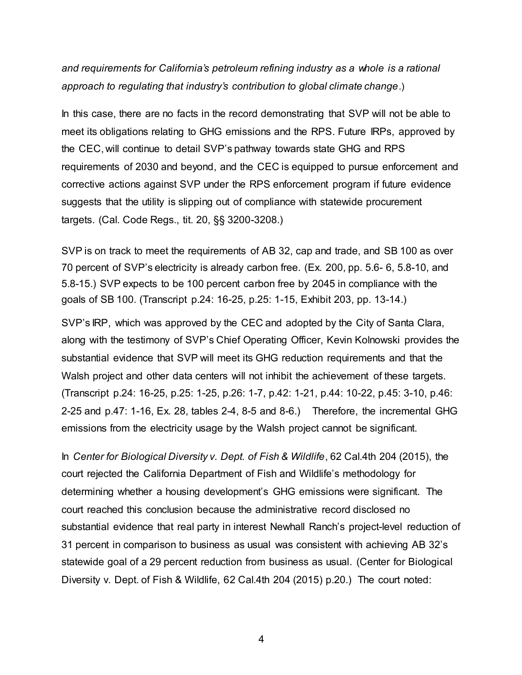*and requirements for California's petroleum refining industry as a whole is a rational approach to regulating that industry's contribution to global climate change*.)

In this case, there are no facts in the record demonstrating that SVP will not be able to meet its obligations relating to GHG emissions and the RPS. Future IRPs, approved by the CEC, will continue to detail SVP's pathway towards state GHG and RPS requirements of 2030 and beyond, and the CEC is equipped to pursue enforcement and corrective actions against SVP under the RPS enforcement program if future evidence suggests that the utility is slipping out of compliance with statewide procurement targets. (Cal. Code Regs., tit. 20, §§ 3200-3208.)

SVP is on track to meet the requirements of AB 32, cap and trade, and SB 100 as over 70 percent of SVP's electricity is already carbon free. (Ex. 200, pp. 5.6- 6, 5.8-10, and 5.8-15.) SVP expects to be 100 percent carbon free by 2045 in compliance with the goals of SB 100. (Transcript p.24: 16-25, p.25: 1-15, Exhibit 203, pp. 13-14.)

SVP's IRP, which was approved by the CEC and adopted by the City of Santa Clara, along with the testimony of SVP's Chief Operating Officer, Kevin Kolnowski provides the substantial evidence that SVP will meet its GHG reduction requirements and that the Walsh project and other data centers will not inhibit the achievement of these targets. (Transcript p.24: 16-25, p.25: 1-25, p.26: 1-7, p.42: 1-21, p.44: 10-22, p.45: 3-10, p.46: 2-25 and p.47: 1-16, Ex. 28, tables 2-4, 8-5 and 8-6.) Therefore, the incremental GHG emissions from the electricity usage by the Walsh project cannot be significant.

In *Center for Biological Diversity v. Dept. of Fish & Wildlife*, 62 Cal.4th 204 (2015), the court rejected the California Department of Fish and Wildlife's methodology for determining whether a housing development's GHG emissions were significant. The court reached this conclusion because the administrative record disclosed no substantial evidence that real party in interest Newhall Ranch's project-level reduction of 31 percent in comparison to business as usual was consistent with achieving AB 32's statewide goal of a 29 percent reduction from business as usual. (Center for Biological Diversity v. Dept. of Fish & Wildlife, 62 Cal.4th 204 (2015) p.20.) The court noted:

4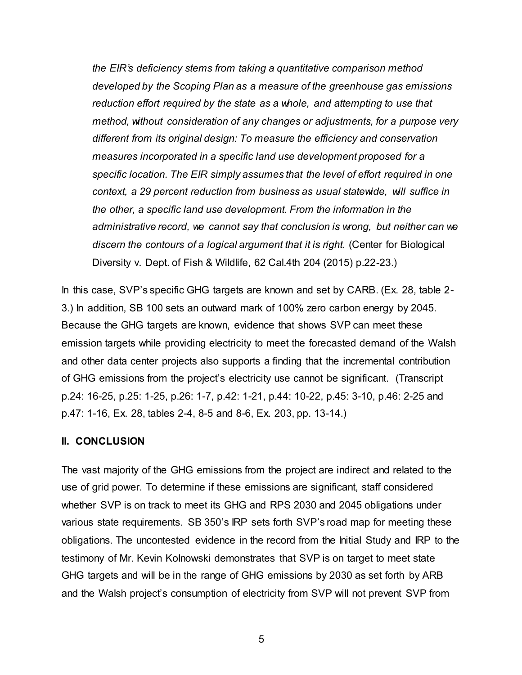*the EIR's deficiency stems from taking a quantitative comparison method developed by the Scoping Plan as a measure of the greenhouse gas emissions reduction effort required by the state as a whole, and attempting to use that method, without consideration of any changes or adjustments, for a purpose very different from its original design: To measure the efficiency and conservation measures incorporated in a specific land use development proposed for a specific location. The EIR simply assumes that the level of effort required in one context, a 29 percent reduction from business as usual statewide, will suffice in the other, a specific land use development. From the information in the administrative record, we cannot say that conclusion is wrong, but neither can we discern the contours of a logical argument that it is right.* (Center for Biological Diversity v. Dept. of Fish & Wildlife, 62 Cal.4th 204 (2015) p.22-23.)

In this case, SVP's specific GHG targets are known and set by CARB. (Ex. 28, table 2- 3.) In addition, SB 100 sets an outward mark of 100% zero carbon energy by 2045. Because the GHG targets are known, evidence that shows SVP can meet these emission targets while providing electricity to meet the forecasted demand of the Walsh and other data center projects also supports a finding that the incremental contribution of GHG emissions from the project's electricity use cannot be significant. (Transcript p.24: 16-25, p.25: 1-25, p.26: 1-7, p.42: 1-21, p.44: 10-22, p.45: 3-10, p.46: 2-25 and p.47: 1-16, Ex. 28, tables 2-4, 8-5 and 8-6, Ex. 203, pp. 13-14.)

#### **II. CONCLUSION**

The vast majority of the GHG emissions from the project are indirect and related to the use of grid power. To determine if these emissions are significant, staff considered whether SVP is on track to meet its GHG and RPS 2030 and 2045 obligations under various state requirements. SB 350's IRP sets forth SVP's road map for meeting these obligations. The uncontested evidence in the record from the Initial Study and IRP to the testimony of Mr. Kevin Kolnowski demonstrates that SVP is on target to meet state GHG targets and will be in the range of GHG emissions by 2030 as set forth by ARB and the Walsh project's consumption of electricity from SVP will not prevent SVP from

5